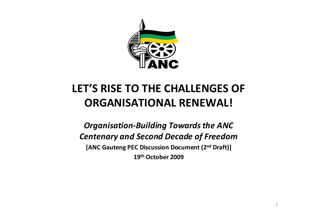

# **LET'S RISE TO THE CHALLENGES OF ORGANISATIONAL RENEWAL!**

*Organisation‐Building Towardsthe ANC Centenary and Second Decade of Freedom* **[ANC Gauteng PEC Discussion Document (2nd Draft)] 19th October 2009**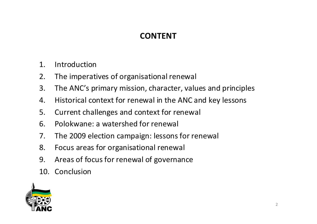## **CONTENT**

- 1. Introduction
- 2. The imperatives of organisational renewal
- 3. The ANC's primary mission, character, values and principles
- 4. Historical context for renewal in the ANC and key lessons
- 5. Current challenges and context for renewal
- 6. Polokwane: a watershed for renewal
- 7. The 2009 election campaign: lessons for renewal
- 8. Focus areas for organisational renewal
- 9. Areas of focus for renewal of governance
- 10. Conclusion

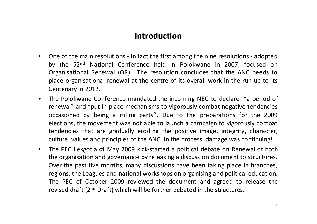### **Introduction**

- $\bullet$  One of the main resolutions ‐ in fact the first among the nine resolutions ‐ adopted by the 52n<sup>d</sup> National Conference held in Polokwane in 2007, focused on Organisational Renewal (OR). The resolution concludes that the ANC needs to place organisational renewal at the centre of its overall work in the run‐up to its Centenary in 2012.
- $\bullet$  The Polokwane Conference mandated the incoming NEC to declare "a period of renewal" and "put in place mechanisms to vigorously combat negative tendencies occasioned by being <sup>a</sup> ruling party". Due to the preparations for the 2009 elections, the movement was not able to launch <sup>a</sup> campaign to vigorously combat tendencies that are gradually eroding the positive image, integrity, character, culture, values and principles of the ANC. In the process, damage was continuing!
- $\bullet$  The PEC Lekgotla of May 2009 kick‐started <sup>a</sup> political debate on Renewal of both the organisation and governance by releasing <sup>a</sup> discussion document to structures. Over the past five months, many discussions have been taking place in branches, regions, the Leagues and national workshops on organising and political education. The PEC of October 2009 reviewed the document and agreed to release the revised draft (2<sup>nd</sup> Draft) which will be further debated in the structures.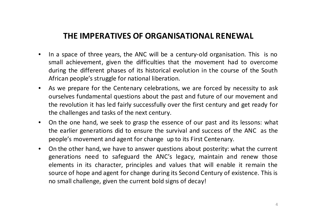### **THE IMPERATIVES OF ORGANISATIONAL RENEWAL**

- •• In a space of three years, the ANC will be a century-old organisation. This is no small achievement, given the difficulties that the movement had to overcome during the different phases of its historical evolution in the course of the South African people's struggle for national liberation.
- $\bullet$  As we prepare for the Centenary celebrations, we are forced by necessity to ask ourselves fundamental questions about the past and future of our movement and the revolution it has led fairly successfully over the first century and get ready for the challenges and tasks of the next century.
- $\bullet$  On the one hand, we seek to grasp the essence of our past and its lessons: what the earlier generations did to ensure the survival and success of the ANC as the people's movement and agent for change up to its First Centenary.
- $\bullet$  On the other hand, we have to answer questions about posterity: what the current generations need to safeguard the ANC's legacy, maintain and renew those elements in its character, principles and values that will enable it remain the source of hope and agent for change during its Second Century of existence. This is no small challenge, given the current bold signs of decay!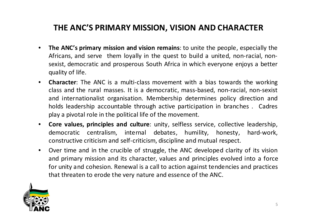### **THE ANC'S PRIMARY MISSION, VISION AND CHARACTER**

- • **The ANC's primary mission and vision remains**: to unite the people, especially the Africans, and serve them loyally in the quest to build <sup>a</sup> united, non‐racial, non‐ sexist, democratic and prosperous South Africa in which everyone enjoys <sup>a</sup> better quality of life.
- $\bullet$  **Character**: The ANC is <sup>a</sup> multi‐class movement with <sup>a</sup> bias towards the working class and the rural masses. It is <sup>a</sup> democratic, mass‐based, non‐racial, non‐sexist and internationalist organisation. Membership determines policy direction and holds leadership accountable through active participation in branches . Cadres play <sup>a</sup> pivotal role in the political life of the movement.
- $\bullet$  **Core values, principles and culture**: unity, selfless service, collective leadership, democratic centralism, internal debates, humility, honesty, hard‐work, constructive criticism and self‐criticism, discipline and mutual respect.
- • Over time and in the crucible of struggle, the ANC developed clarity of its vision and primary mission and its character, values and principles evolved into <sup>a</sup> force for unity and cohesion. Renewal is <sup>a</sup> call to action against tendencies and practices that threaten to erode the very nature and essence of the ANC.

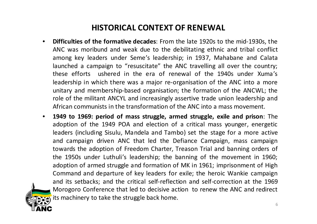### **HISTORICAL CONTEXT OF RENEWAL**

- • **Difficulties of the formative decades**: From the late 1920s to the mid‐1930s, the ANC was moribund and weak due to the debilitating ethnic and tribal conflict among key leaders under Seme's leadership; in 1937, Mahabane and Calata launched <sup>a</sup> campaign to "resuscitate" the ANC travelling all over the country; these efforts ushered in the era of renewal of the 1940s under Xuma's leadership in which there was <sup>a</sup> major re‐organisation of the ANC into <sup>a</sup> more unitary and membership‐based organisation; the formation of the ANCWL; the role of the militant ANCYL and increasingly assertive trade union leadership and African communists in the transformation of the ANC into a mass movement.
- $\bullet$  **1949 to 1969: period of mass struggle, armed struggle, exile and prison**: The adoption of the 1949 POA and election of <sup>a</sup> critical mass younger, energetic leaders (including Sisulu, Mandela and Tambo) set the stage for <sup>a</sup> more active and campaign driven ANC that led the Defiance Campaign, mass campaign towards the adoption of Freedom Charter, Treason Trial and banning orders of the 1950s under Luthuli's leadership; the banning of the movement in 1960; adoption of armed struggle and formation of MK in 1961; imprisonment of High Command and departure of key leaders for exile; the heroic Wankie campaign and its setbacks; and the critical self‐reflection and self‐correction at the 1969 Morogoro Conference that led to decisive action to renew the ANC and redirect its machinery to take the struggle back home.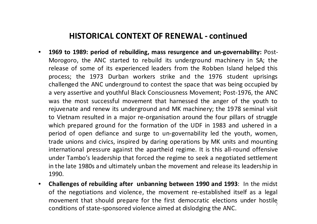### **HISTORICAL CONTEXT OF RENEWAL ‐ continued**

- • **1969 to 1989: period of rebuilding, mass resurgence and un‐governability:** Post‐ Morogoro, the ANC started to rebuild its underground machinery in SA; the release of some of its experienced leaders from the Robben Island helped this process; the 1973 Durban workers strike and the 1976 student uprisings challenged the ANC underground to contest the space that was being occupied by a very assertive and youthful Black Consciousness Movement; Post‐1976, the ANC was the most successful movement that harnessed the anger of the youth to rejuvenate and renew its underground and MK machinery; the 1978 seminal visit to Vietnam resulted in <sup>a</sup> major re‐organisation around the four pillars of struggle which prepared ground for the formation of the UDF in 1983 and ushered in <sup>a</sup> period of open defiance and surge to un‐governability led the youth, women, trade unions and civics, inspired by daring operations by MK units and mounting international pressure against the apartheid regime. It is this all‐round offensive under Tambo's leadership that forced the regime to seek <sup>a</sup> negotiated settlement in the late 1980s and ultimately unban the movement and release its leadership in 1990.
- • **Challenges of rebuilding after unbanning between 1990 and 1993**: In the midst of the negotiations and violence, the movement re‐established itself as <sup>a</sup> legal movement that should prepare for the first democratic elections under hostile conditions of state-sponsored violence aimed at dislodging the ANC.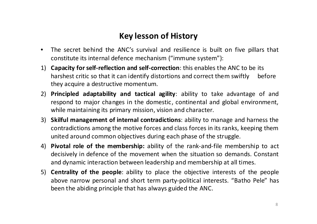### **Key lesson of History**

- • The secret behind the ANC's survival and resilience is built on five pillars that constitute its internal defence mechanism ("immune system"):
- 1) **Capacity for self‐reflection and self‐correction**: this enables the ANC to be its harshest critic so that it can identify distortions and correct them swiftly before they acquire <sup>a</sup> destructive momentum.
- 2) **Principled adaptability and tactical agility**: ability to take advantage of and respond to major changes in the domestic, continental and global environment, while maintaining its primary mission, vision and character.
- 3) **Skilful management of internal contradictions**: ability to manage and harness the contradictions among the motive forces and class forces in its ranks, keeping them united around common objectives during each phase of the struggle.
- 4) **Pivotal role of the membership:** ability of the rank‐and‐file membership to act decisively in defence of the movement when the situation so demands. Constant and dynamic interaction between leadership and membership at all times.
- 5) **Centrality of the people**: ability to place the objective interests of the people above narrow personal and short term party‐political interests. "Batho Pele" has been the abiding principle that has always guided the ANC.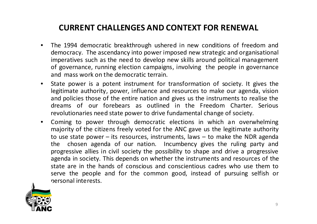### **CURRENT CHALLENGES AND CONTEXT FOR RENEWAL**

- $\bullet$  The 1994 democratic breakthrough ushered in new conditions of freedom and democracy. The ascendancy into power imposed new strategic and organisational imperatives such as the need to develop new skills around political management of governance, running election campaigns, involving the people in governance and mass work on the democratic terrain.
- $\bullet$  State power is <sup>a</sup> potent instrument for transformation of society. It gives the legitimate authority, power, influence and resources to make our agenda, vision and policies those of the entire nation and gives us the instruments to realise the dreams of our forebears as outlined in the Freedom Charter. Serious revolutionaries need state power to drive fundamental change of society.
- • Coming to power through democratic elections in which an overwhelming majority of the citizens freely voted for the ANC gave us the legitimate authority to use state power – its resources, instruments, laws – to make the NDR agenda the chosen agenda of our nation. Incumbency gives the ruling party and progressive allies in civil society the possibility to shape and drive <sup>a</sup> progressive agenda in society. This depends on whether the instruments and resources of the state are in the hands of conscious and conscientious cadres who use them to serve the people and for the common good, instead of pursuing selfish or personal interests.

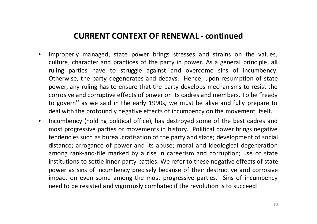#### **CURRENT CONTEXT OF RENEWAL ‐ continued**

- • Improperly managed, state power brings stresses and strains on the values, culture, character and practices of the party in power. As <sup>a</sup> general principle, all ruling parties have to struggle against and overcome sins of incumbency. Otherwise, the party degenerates and decays. Hence, upon resumption of state power, any ruling has to ensure that the party develops mechanisms to resist the corrosive and corruptive effects of power on its cadres and members. To be "ready to govern'' as we said in the early 1990s, we must be alive and fully prepare to deal with the profoundly negative effects of incumbency on the movement itself.
- • Incumbency (holding political office), has destroyed some of the best cadres and most progressive parties or movements in history. Political power brings negative tendencies such as bureaucratisation of the party and state; development of social distance; arrogance of power and its abuse; moral and ideological degeneration among rank‐and‐file marked by <sup>a</sup> rise in careerism and corruption; use of state institutions to settle inner‐party battles. We refer to these negative effects of state power as sins of incumbency precisely because of their destructive and corrosive impact on even some among the most progressive parties. Sins of incumbency need to be resisted and vigorously combated if the revolution is to succeed!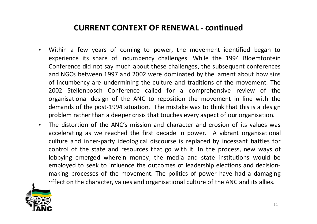### **CURRENT CONTEXT OF RENEWAL ‐ continued**

- • Within <sup>a</sup> few years of coming to power, the movement identified began to experience its share of incumbency challenges. While the 1994 Bloemfontein Conference did not say much about these challenges, the subsequent conferences and NGCs between 1997 and 2002 were dominated by the lament about how sins of incumbency are undermining the culture and traditions of the movement. The 2002 Stellenbosch Conference called for <sup>a</sup> comprehensive review of the organisational design of the ANC to reposition the movement in line with the demands of the post‐1994 situation. The mistake was to think that this is <sup>a</sup> design problem rather than <sup>a</sup> deeper crisis that touches every aspect of our organisation.
- $\bullet$  The distortion of the ANC's mission and character and erosion of its values was accelerating as we reached the first decade in power. A vibrant organisational culture and inner‐party ideological discourse is replaced by incessant battles for control of the state and resources that go with it. In the process, new ways of lobbying emerged wherein money, the media and state institutions would be employed to seek to influence the outcomes of leadership elections and decision‐ making processes of the movement. The politics of power have had <sup>a</sup> damaging  $\cap$ ffect on the character, values and organisational culture of the ANC and its allies.

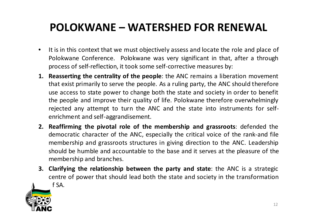## **POLOKWANE – WATERSHED FOR RENEWAL**

- $\bullet$ • It is in this context that we must objectively assess and locate the role and place of Polokwane Conference. Polokwane was very significant in that, after <sup>a</sup> through process of self‐reflection, it took some self‐corrective measures by:
- **1. Reasserting the centrality of the people**: the ANC remains <sup>a</sup> liberation movement that exist primarily to serve the people. As <sup>a</sup> ruling party, the ANC should therefore use access to state power to change both the state and society in order to benefit the people and improve their quality of life. Polokwane therefore overwhelmingly rejected any attempt to turn the ANC and the state into instruments for self‐ enrichment and self‐aggrandisement.
- **2. Reaffirming the pivotal role of the membership and grassroots**: defended the democratic character of the ANC, especially the critical voice of the rank‐and file membership and grassroots structures in giving direction to the ANC. Leadership should be humble and accountable to the base and it serves at the pleasure of the membership and branches.
- **3. Clarifying the relationship between the party and state**: the ANC is <sup>a</sup> strategic centre of power that should lead both the state and society in the transformation of SA.

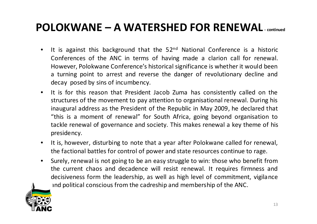## **POLOKWANE – A WATERSHED FOR RENEWAL ‐ continued**

- $\bullet$ • It is against this background that the 52<sup>nd</sup> National Conference is a historic Conferences of the ANC in terms of having made <sup>a</sup> clarion call for renewal. However, Polokwane Conference's historical significance is whether it would been a turning point to arrest and reverse the danger of revolutionary decline and decay posed by sins of incumbency.
- $\bullet$ • It is for this reason that President Jacob Zuma has consistently called on the structures of the movement to pay attention to organisational renewal. During his inaugural address as the President of the Republic in May 2009, he declared that "this is a moment of renewal" for South Africa, going beyond organisation to tackle renewal of governance and society. This makes renewal <sup>a</sup> key theme of his presidency.
- $\bullet$  It is, however, disturbing to note that <sup>a</sup> year after Polokwane called for renewal, the factional battles for control of power and state resources continue to rage.
- $\bullet$  Surely, renewal is not going to be an easy struggle to win: those who benefit from the current chaos and decadence will resist renewal. It requires firmness and decisiveness form the leadership, as well as high level of commitment, vigilance and political conscious from the cadreship and membership of the ANC.

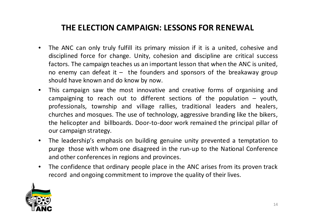### **THE ELECTION CAMPAIGN: LESSONS FOR RENEWAL**

- • The ANC can only truly fulfill its primary mission if it is <sup>a</sup> united, cohesive and disciplined force for change. Unity, cohesion and discipline are critical success factors. The campaign teaches us an important lesson that when the ANC is united, no enemy can defeat it – the founders and sponsors of the breakaway group should have known and do know by now.
- $\bullet$  This campaign saw the most innovative and creative forms of organising and campaigning to reach out to different sections of the population  $-$  youth, professionals, township and village rallies, traditional leaders and healers, churches and mosques. The use of technology, aggressive branding like the bikers, the helicopter and billboards. Door‐to‐door work remained the principal pillar of our campaign strategy.
- $\bullet$  The leadership's emphasis on building genuine unity prevented <sup>a</sup> temptation to purge those with whom one disagreed in the run‐up to the National Conference and other conferences in regions and provinces.
- $\bullet$  The confidence that ordinary people place in the ANC arises from its proven track record and ongoing commitment to improve the quality of their lives.

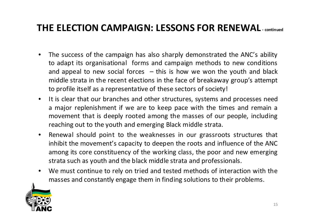## **THE ELECTION CAMPAIGN: LESSONS FOR RENEWAL ‐ continued**

- • The success of the campaign has also sharply demonstrated the ANC's ability to adapt its organisational forms and campaign methods to new conditions and appeal to new social forces – this is how we won the youth and black middle strata in the recent elections in the face of breakaway group's attempt to profile itself as <sup>a</sup> representative of these sectors of society!
- $\bullet$ • It is clear that our branches and other structures, systems and processes need a major replenishment if we are to keep pace with the times and remain <sup>a</sup> movement that is deeply rooted among the masses of our people, including reaching out to the youth and emerging Black middle strata.
- $\bullet$  Renewal should point to the weaknesses in our grassroots structures that inhibit the movement's capacity to deepen the roots and influence of the ANC among its core constituency of the working class, the poor and new emerging strata such as youth and the black middle strata and professionals.
- • We must continue to rely on tried and tested methods of interaction with the masses and constantly engage them in finding solutions to their problems.

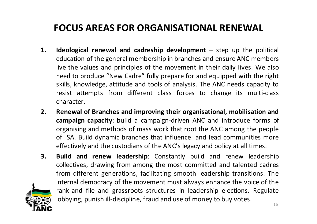## **FOCUS AREAS FOR ORGANISATIONAL RENEWAL**

- **1. Ideological renewal and cadreship development** step up the political education of the general membership in branches and ensure ANC members live the values and principles of the movement in their daily lives. We also need to produce "New Cadre" fully prepare for and equipped with the right skills, knowledge, attitude and tools of analysis. The ANC needs capacity to resist attempts from different class forces to change its multi‐class character.
- **2. Renewal of Branches and improving their organisational, mobilisation and campaign capacity**: build <sup>a</sup> campaign‐driven ANC and introduce forms of organising and methods of mass work that root the ANC among the people of SA. Build dynamic branches that influence and lead communities more effectively and the custodians of the ANC's legacy and policy at all times.
- **3. Build and renew leadership**: Constantly build and renew leadership collectives, drawing from among the most committed and talented cadres from different generations, facilitating smooth leadership transitions. The internal democracy of the movement must always enhance the voice of the rank‐and file and grassroots structures in leadership elections. Regulate lobbying, punish ill-discipline, fraud and use of money to buy votes.

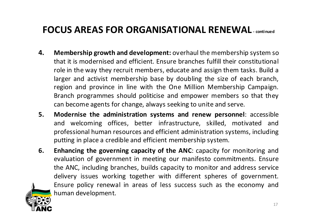## **FOCUS AREAS FOR ORGANISATIONAL RENEWAL ‐ continued**

- **4. Membership growth and development:** overhaul the membership system so that it is modernised and efficient. Ensure branches fulfill their constitutional role in the way they recruit members, educate and assign them tasks. Build <sup>a</sup> larger and activist membership base by doubling the size of each branch, region and province in line with the One Million Membership Campaign. Branch programmes should politicise and empower members so that they can become agents for change, always seeking to unite and serve.
- **5. Modernise the administration systems and renew personnel**: accessible and welcoming offices, better infrastructure, skilled, motivated and professional human resources and efficient administration systems, including putting in place <sup>a</sup> credible and efficient membership system.
- **6. Enhancing the governing capacity of the ANC**: capacity for monitoring and evaluation of government in meeting our manifesto commitments. Ensure the ANC, including branches, builds capacity to monitor and address service delivery issues working together with different spheres of government. Ensure policy renewal in areas of less success such as the economy and human development.

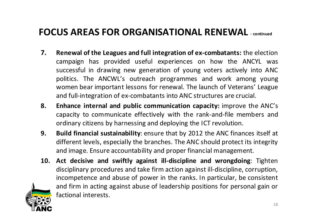## **FOCUS AREAS FOR ORGANISATIONAL RENEWAL ‐ continued**

- **7. Renewal of the Leagues and full integration of ex‐combatants:** the election campaign has provided useful experiences on how the ANCYL was successful in drawing new generation of young voters actively into ANC politics. The ANCWL's outreach programmes and work among young women bear important lessons for renewal. The launch of Veterans' League and full‐integration of ex‐combatants into ANC structures are crucial.
- **8. Enhance internal and public communication capacity:** improve the ANC's capacity to communicate effectively with the rank‐and‐file members and ordinary citizens by harnessing and deploying the ICT revolution.
- **9. Build financial sustainability**: ensure that by 2012 the ANC finances itself at different levels, especially the branches. The ANC should protect its integrity and image. Ensure accountability and proper financial management.
- **10. Act decisive and swiftly against ill‐discipline and wrongdoing**: Tighten disciplinary procedures and take firm action against ill-discipline, corruption, incompetence and abuse of power in the ranks. In particular, be consistent and firm in acting against abuse of leadership positions for personal gain or factional interests.

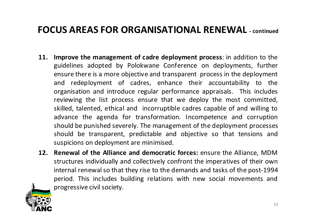### **FOCUS AREAS FOR ORGANISATIONAL RENEWAL ‐ continued**

- **11. Improve the management of cadre deployment process**: in addition to the guidelines adopted by Polokwane Conference on deployments, further ensure there is <sup>a</sup> more objective and transparent process in the deployment and redeployment of cadres, enhance their accountability to the organisation and introduce regular performance appraisals. This includes reviewing the list process ensure that we deploy the most committed, skilled, talented, ethical and incorruptible cadres capable of and willing to advance the agenda for transformation. Incompetence and corruption should be punished severely. The management of the deployment processes should be transparent, predictable and objective so that tensions and suspicions on deployment are minimised.
- **12. Renewal of the Alliance and democratic forces:** ensure the Alliance, MDM structures individually and collectively confront the imperatives of their own internal renewalso that they rise to the demands and tasks of the post‐1994 period. This includes building relations with new social movements and progressive civil society.

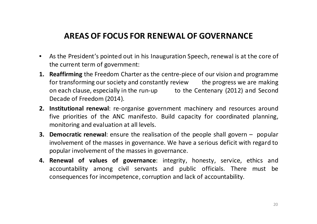### **AREAS OF FOCUS FOR RENEWAL OF GOVERNANCE**

- $\bullet$  As the President's pointed out in his Inauguration Speech, renewal is at the core of the current term of government:
- **1. Reaffirming** the Freedom Charter as the centre‐piece of our vision and programme for transforming our society and constantly review bthe progress we are making on each clause, especially in the run-up to the Centenary (2012) and Second Decade of Freedom (2014).
- **2. Institutional renewal**: re‐organise government machinery and resources around five priorities of the ANC manifesto. Build capacity for coordinated planning, monitoring and evaluation at all levels.
- **3. Democratic renewal**: ensure the realisation of the people shall govern popular involvement of the masses in governance. We have <sup>a</sup> serious deficit with regard to popular involvement of the masses in governance.
- **4. Renewal of values of governance**: integrity, honesty, service, ethics and accountability among civil servants and public officials. There must be consequences for incompetence, corruption and lack of accountability.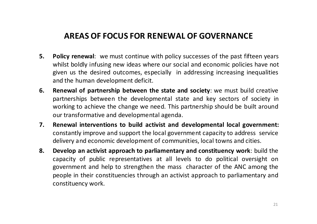### **AREAS OF FOCUS FOR RENEWAL OF GOVERNANCE**

- **5. Policy renewal**: we must continue with policy successes of the past fifteen years whilst boldly infusing new ideas where our social and economic policies have not given us the desired outcomes, especially in addressing increasing inequalities and the human development deficit.
- **6. Renewal of partnership between the state and society**: we must build creative partnerships between the developmental state and key sectors of society in working to achieve the change we need. This partnership should be built around our transformative and developmental agenda.
- **7. Renewal interventions to build activist and developmental local government:** constantly improve and support the local government capacity to address service delivery and economic development of communities, local towns and cities.
- **8. Develop an activist approach to parliamentary and constituency work**: build the capacity of public representatives at all levels to do political oversight on government and help to strengthen the mass character of the ANC among the people in their constituencies through an activist approach to parliamentary and constituency work.